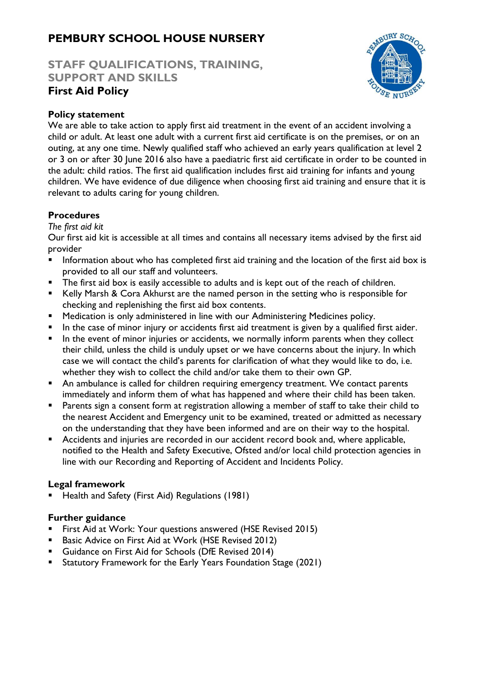# **PEMBURY SCHOOL HOUSE NURSERY**

## **STAFF QUALIFICATIONS, TRAINING, SUPPORT AND SKILLS First Aid Policy**



### **Policy statement**

We are able to take action to apply first aid treatment in the event of an accident involving a child or adult. At least one adult with a current first aid certificate is on the premises, or on an outing, at any one time. Newly qualified staff who achieved an early years qualification at level 2 or 3 on or after 30 June 2016 also have a paediatric first aid certificate in order to be counted in the adult: child ratios. The first aid qualification includes first aid training for infants and young children. We have evidence of due diligence when choosing first aid training and ensure that it is relevant to adults caring for young children.

#### **Procedures**

#### *The first aid kit*

Our first aid kit is accessible at all times and contains all necessary items advised by the first aid provider

- Information about who has completed first aid training and the location of the first aid box is provided to all our staff and volunteers.
- The first aid box is easily accessible to adults and is kept out of the reach of children.
- Kelly Marsh & Cora Akhurst are the named person in the setting who is responsible for checking and replenishing the first aid box contents.
- Medication is only administered in line with our Administering Medicines policy.
- In the case of minor injury or accidents first aid treatment is given by a qualified first aider.
- **■** In the event of minor injuries or accidents, we normally inform parents when they collect their child, unless the child is unduly upset or we have concerns about the injury. In which case we will contact the child's parents for clarification of what they would like to do, i.e. whether they wish to collect the child and/or take them to their own GP.
- **An ambulance is called for children requiring emergency treatment. We contact parents** immediately and inform them of what has happened and where their child has been taken.
- Parents sign a consent form at registration allowing a member of staff to take their child to the nearest Accident and Emergency unit to be examined, treated or admitted as necessary on the understanding that they have been informed and are on their way to the hospital.
- Accidents and injuries are recorded in our accident record book and, where applicable, notified to the Health and Safety Executive, Ofsted and/or local child protection agencies in line with our Recording and Reporting of Accident and Incidents Policy.

#### **Legal framework**

Health and Safety (First Aid) Regulations (1981)

#### **Further guidance**

- First Aid at Work: Your questions answered (HSE Revised 2015)
- Basic Advice on First Aid at Work (HSE Revised 2012)
- Guidance on First Aid for Schools (DfE Revised 2014)
- **E** Statutory Framework for the Early Years Foundation Stage (2021)